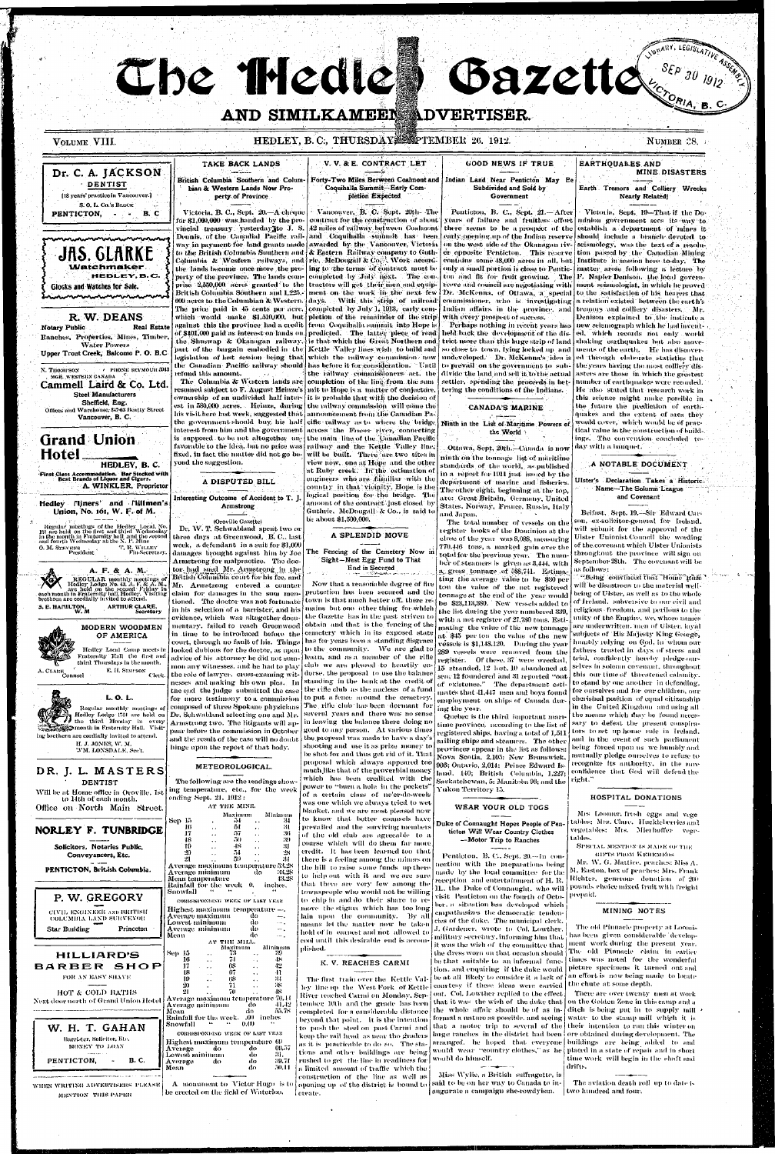The Theate

VOLUME VIII.

## AND SIMILKAMEEN ADVERTISER.

Bazette SEP 30 1912

HEDLEY, B.C., THURSDAY. SECTEMBER 26. 1912.

V. V. & E. CONTRACT LET TAKE BACK LANDS **GOOD NEWS IF TRUE EARTHQUAKES AND** Dr. C. A. JACKSON **MINE DISASTERS** Forty-Two Miles Berween Coalmont and British Columbia Southern and Colum-Indian Land Near Penticton May Be DENTIST Coquihalla Summit -- Early Combian & Western Lands Now Pro-Subdivided and Sold by Earth Tremors and Colliery Wrecks [18 years' practice in Vancouver.] perty of Province pletion Expected **Nearly Related** Government S.O.L. Co.'s BLOCK Victoria, Sept. 19-That if the Do-Victoria, B. C., Sept. 20.-A cheque <sup>1</sup> Vancouver, **B. C. Sept. 20th-** The Penticton, B. C., Sept. 21 .- After  $-$  B. C PENTICTON, vears of failure and fruitless effort minion government sees its way to for \$1,009,000 was handed by the pro- contract for the construction of about there seems to be a prospect of the establish a department of mines it vincial treasury yesterday to J. S. 42 miles of railway between Coalmont Deunis, of the Canadial Pacific rail and Coquilmilla summit has been early opening up of the Indian reserve should include a branch devoted to way in payment for land grants made awarded by the Vancouver. Victoria on the west side of the Okanagan riv- seismology, was the text of a resolu-JAS. GLARKE to the British Columbia Suuthern and & Eastern Railway company to Guther opposite Penticton. This reserve tion passed by the Canadian Mining Columbia & Wesfern railways, and rie. McDougall & Co. Work accordconfitins some 48,000 acres in all, but Institute in session here to day. The Watchmaker. only a small portion is close to Pentic- matter arose following a lecture by the lands become once more the pro- ing to the terms of contract must be HEDLEY.B.C. perty of the province. The lands com- completed by July next. The conton and fit for fruit growing. The F. Napier Denison, the local governprise 2,550,000 acres granted to the tractors will get their men and equipreeve and council are negotiating with usent seismologist, in which he proved **Glocks and Watches for Sale.** British Columbia Southern and 1,225. ment on the work the the next few Dr. McKenna, of Ottawa, a special to the satisfaction of his hearers that. mamanaanammamanana commissioner, who is investigating The price paid is 45 cents per acre, completed by July 1, 1913, early com-Indian affairs in the province, and R. W. DEANS which would make  $$1,510,000$ , but pletion of the remainder of the strip with every prospect of success. against this the province had a credit from Coquinalla summit into Hone is Perhaps nothing in recent years has new seismograph which he had invent-**Notary Public Real Estate** of \$401,000 paid as interest on lands on predicted. "The "latter "piece" of "read held back the development of the dis-Ranches, Properties, Mines, Timber, shaking earthquakes but also movethe Shuswap & Okanagan railway, is that which the Great Northern and trict more than this large strip of land **Water Powers** part of the Dargain embodied in the Kettle Valley lines wish to build and so close to town, lying locked up and | ments of the earth. He has discover-Upper Trout Creek, Balcomo P. O. B.C.  $\log$  islation of last session being that which the railway commission now undeveloped. Dr. McKenna's idea is the Canadian Pacific railway should has before it for consideration. "Until to prevail on the government to subthe vears having the most colliery dis-PHONE SEYMOUR 5943 N. THOMPSON refund this amount. the initway commissioners act, the divide the land and sell it to the actual MGR. WESTERN CANADA The Columbia & Western lands are settler, spending the proceeds in betcompletion of the line from the sum number of earthquakes were recorded. Cammell Laird & Co. Ltd. resumed subject to F. August Heinze's | mit to Hope is a "matter of conjecture" tering the conditions of the Indians. He also stated that research work in **Steel Manufacturers** ownership  $\,$  of an undivided  $\,$  half inter-  $\,$  it is probable that with the decision of Sheffield, Eng. est in 580,000 acres. Heinze, during the railway commission will come the the future the prediction of earth-CANADA'S MARINE Offices and Warehouse, 847-63 Beatty Street his visit here last week, suggested that announcement from the Canadian Paquakes and the extent of area they Vancouver, B. C. the government should buy, his half cific railway as to where the bridge would cover, which would be of prac-Ninth in the List of Maritime Powers of across the Fraser river, connecting interest from him and the government the World **Grand Union** is supposed to be not altogether unthe main line of the Canadian Pacific ings. The convention concluded tofavorable to the idea, but no price was railway and the Kettle Valley line, day with a banquet. Ottawa, Sept, 20th.-Canada is now Hotel fixed, in fact the matter did not go bewill be built. There are two sites in ninth on the tonnage list of maritime yond the suggestion. view now, one at Hope and the other HEDLEY, B. C. standards of the world, as published A NOTABLE DOCUMENT at Ruby creek. Th the estimation of in a report for 1911 just issued by the .<br>First Class Accommodation. Bar Stocked with<br>Best Brands of Liquor and Cigars. engineers who are familiar with the Ulster's Declaration Takes a Historic. A DISPUTED BILL department of marine and fisheries. A. WINKLER, Proprietor country in that vicinity, Hope is the The other eight, beginning at the top, Name-The Solumn League logical position for the bridge. The and Covenant Interesting Outcome of Accident to T. J. are: Great Britain, Germany, United Hedley Miners' and Millmen's amount of the contract just closed by Armstrong States, Norway, France, Rassia, Italy Union, No. 161, W. F. of M. Guthrie, McDougall & Co., is said to Belfast, Sept. 19.-Sir Edward Carand Japan, ' be about \$1,500,000. (Oroville Gazette) son, ex-solicitor-general for Ireland. The total number of vessels on the Regular meetings of the Hedley Local, No.<br>16t are held on the first and third Wednesday<br>in the month in Fraternity half and the second<br>and fourth Wednesday at the N. P. Mine Dr. W. T. Schwabland spent two or will submit for the approval of the register books of the Dominion at the A SPLENDID MOVE three days at Greenwood, B. C., last Ulster Unionist Council the wording close of the year was \$,08\$, measuring week, a defendant in a suit for \$1,000 of the covenant which Ulster Unionists 770.446 tons, a marked gain over the O. M. STEVENS<br>President T, R. WILLEY The Fencing of the Cemetery Now in damages brought against him by Joe throughout the province will sign on total for the previous year. The num-Sight-Nest Egg Fund to That Armstrong for malpractice. The doc-September 28th. The covenant will be ber of steamers is given as 3,444, with as follows: A. F. & A. M.

"Being convinced that Home Rufe" will be disastrous to the material welltonnage at the end of the year would being of Ulster, as well as to the whole

tor had sued Mr. Armstrong in the British Columbia court for his fee, and Mr. Armsteong entered a counter claim for damages in the sum mentioned. The doctor was not fortunate

**End is Secured** 

Now that a reasonable degree of fire protection has been secured and the town is that much better off, there re- toe \$23,113,380. New vessels added to of Ireland, subversive to our civil and mains but one other thing for which the Gazette has in the past striven to club we are pleased to heartily endorse, the proposal to use the balance standing in the bank at the credit of the rifle club as the nucleus of a fund The rifle club has been dormant for several years and there was no sense in leaving the balance there doing no  $|$  good to any person.  $\;$  At various times shooting and use it as prize money to be shot for and thus get rid of it. That proposal which always appeared too much like that of the proverbial money which has been credited with the power to "burn a hole in the pockets' of a certain class of ne'er-do-weels was one which we always tried to wet blanket, and we are most pleased now to know that better counsels have prevailed and the surviving members of the old club are agreeable to a course which will do them far more credit. It has been learned too that there is a feeling among the miners on the hill to raise some funds up there to help out with it and we are sure that there are very few among the townspeople who would not be willing to chip in and do their share to remove the stigma which has too long lain upon the community. By all means let the matter now be taken hold of in carnest and not allowed to

a gross tonnage of 588.741. Estimating the average value to be \$30 per ton the value of the net registered

a relation existed between the earth's tremors and colliery disasters. Mr. Denison explained to the institute a

NUMBER 28.

ed. which records not only world ed through elaborate statistics that asters are those in which the greatest this science might make possible in tical value in the construction of build-



REGULAR monthly meetings of

Redley Lodge No. 43, A. F. & A. M.<br>
are held on the second Friday in<br>each month in Fraternity hall, Hedley. Visiting<br>brethren are cordially invited to attend.

#### K. V. REACHES CARMI

The first train over the Kettle Valley line up the West Fork of Kettle courtesy if these ideas were carried tember 16th and the grade has been completed for a cansiderable distance beyond that point. It is the intention to push the steel on past-Carmi and keep the rail head as near tho graders as it is practicable to do so. The stations and other buildings are being rushed to get the line in readiness for a limited amount of traffic which the construction of the line as well as opening up of the district is bound to said to be on her way to Canada to in-

the list during the year numbered 339, with a net register of 27,730 tons. Estimating the value of the new tonnage at \$45 per ton the value of the new vessels is \$1.148.120. During the year 289 vessels were removed from the register. Of these, 37 were wrecked. 15 stranded, 12 lost, 10 abandoned at sea, 12 foundered and 31 reported "out employment on ships of Canada during the vear.

Quebec is the third important maritime province, according to the list of registered ships, having a total of 1,511 provinces appear in the list as follows: Nova Scotia, 2,105; New Brunswick, 966; Ontario, 2,014; Prince Edward Is-Hand, 140; British Columbia, 1,227; Saskatchewan, 5: Manitoba 96; and the right." Yukon Territory 15.

#### WEAR YOUR OLD TOGS

#### Duke of Connaught Hopes People of Penticton Will Wear Country Clothes --Motor Trip to Ranches

Pentieton, B. C., Sept. 20.-4n connection with the preparations being made by the local committee for the reception and entertainment of H.R. 11., the Duke of Connaught, who will visit Penticton on the fourth of October, a situation has developed which empathasizes the democratic tendencies of the duke. The municipal clerk, J. Gardener, wrote to Col. Lowther. military secretary, informing him that it was the wish of the committee that the dress worn on that occasion should be that suitable to an informal function, and enquiring if the dake would be at all likely to consider it a lack of

River reached Carmi on Monday, Sep- out. Col. Lowther replied to the effect that it was the wish of the duke that. the whole affair should be of as inarranged, he hoped that everyone would wear "country clothes," as he would do himself.

> Miss Wylie, a British suffragette, is augurate a campaign she-rowdyism.

religious - freedom, and perilous to the unity of the Empire, we, whose names are underwritten, men of Ulster, loyal subjects of 'His Majesty King George, humbly relying on God, in whom our fathers trusted in days of stress and trial, confidently hereby pledge-ourselves in solemn covenant, throughout this our time of threatened calamity. of existence." The department esti- to stand by one another in defending. mates that 41,447 men and boys found for ourselves and for our children, our cherished position of equal citizenship in the United Kingdom and using all the means which flav be found necessary to defeat the present conspirators to set up home rule in Ireland. sailing ships and steamers. The other and in the event of such parliament being forced upon us we humbly and mutually pledge ourselves to refuse to recognize its authority, in the sure confidence that God will defend the

#### HOSPITAL DONATIONS

Mrs Loomer, fresh eggs and vege ables: Mrs. Clarc. Huckleberries and vegetables: Mts. Mierhoffer vegetables.

SPECIAL MENTION IS MADE OF THE GIFTS FROM KEREMEOS

Mr. W. G. Mattice, peaches: Miss A. M. Easton, box of peaches: Mrs. Frank Richter, generous donation of 200 pounds choice mixed fruit with freight prepaid.

#### MINING NOTES

The old Pinnacle property at Loomis has been given considerable development work during the present year. The old Pinnacle claim in earlier times was noted for the wonderful picture specimens it turned out-and an effort is now being made to locate the chute at some depth.

There are over twenty men at work on the Golden Zone in this camp and a ditch is being put in to supply mill formal a nature as possible, and seeing water to the stamp mill which it is that a motor trip to several of the their intention to run this winter on large ranches in the district had been ore obtained during development. The buildings are being added to and placed in a state of repair and in short time work will begin in the shaft and drifts.

> The aviation death roll up to date is two hundred and four.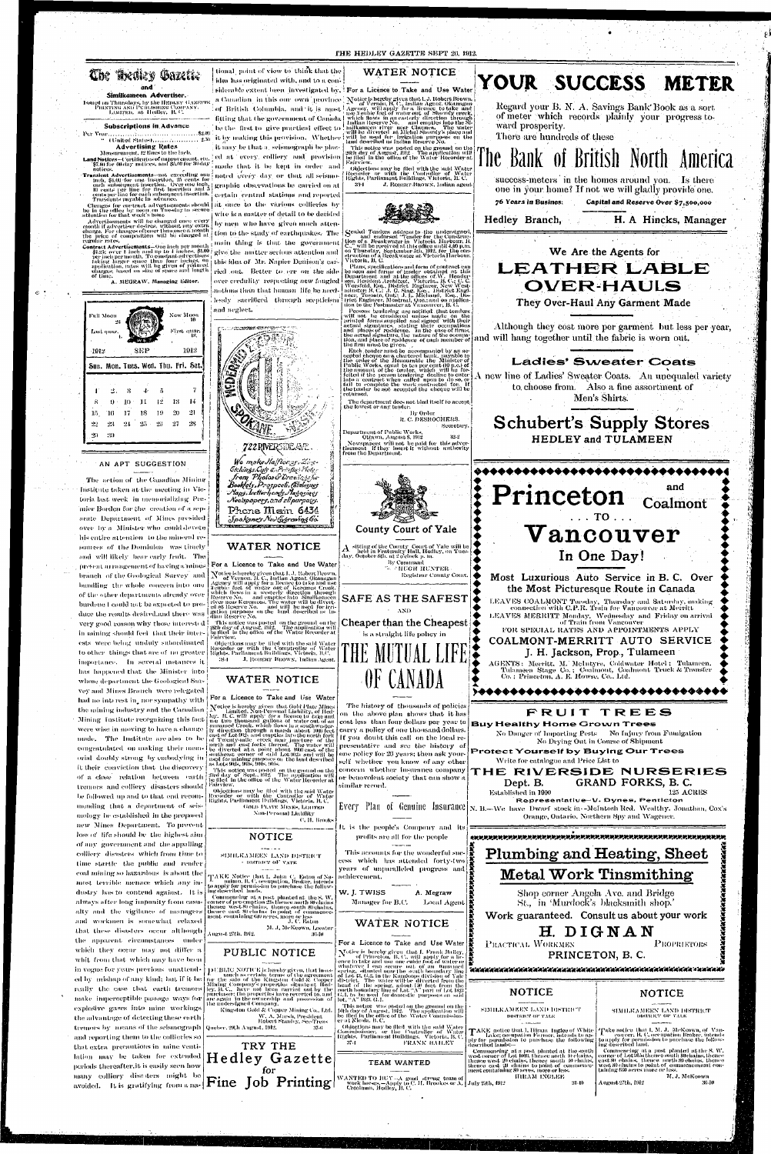|                                                                                                                                                                                                                              |                                                                                                                                                                                                                                                                                                      | THE HEDLEY GAZETTE SEPT 20, 1912.                                                                                                                                                                                                                                                                                                                                        |                                                                                                                                                                          |
|------------------------------------------------------------------------------------------------------------------------------------------------------------------------------------------------------------------------------|------------------------------------------------------------------------------------------------------------------------------------------------------------------------------------------------------------------------------------------------------------------------------------------------------|--------------------------------------------------------------------------------------------------------------------------------------------------------------------------------------------------------------------------------------------------------------------------------------------------------------------------------------------------------------------------|--------------------------------------------------------------------------------------------------------------------------------------------------------------------------|
| <b>Che Araley Gazette</b><br>and                                                                                                                                                                                             | tional, point of view to think that the<br>idea has originated with, and to a con-                                                                                                                                                                                                                   | WATER NOTICE<br>siderable extent heon, investigated by," For a Licence to Take and Use Water                                                                                                                                                                                                                                                                             | YOUR SUCCESS METER                                                                                                                                                       |
| Similkameen Advertiser.<br>Issued on Thursdays, by the HEDLEY GAZETTE<br>PRINTING AND PUBLISHING COMPANY. LIMITED, at Hedley, B.C.                                                                                           |                                                                                                                                                                                                                                                                                                      | a Carnadian in this our own province Notice is hereby given that I. J. Robert Brown.<br>of Vernon, H. C., Indian Agent, Okamagan<br>of British Columbia, and it is most agency, will apply for a liemer to take and<br>fitting that the government of Canada measurement of the second of Showdy ereck.<br>The first to give practical effect to milian liesers Ne and a | Regard your B. N. A. Savings Bank Book as a sort<br>of meter which records plainly your progress to-                                                                     |
| <b>Subscriptions in Advance</b><br>" (United States),  A. A.   250<br><b>Advertising Rates</b>                                                                                                                               | it by making this provision. Whether<br>it unty be that a seismograph be plac-                                                                                                                                                                                                                       | will be used for brigation purposes on the<br>land described as Indian Reserve No.<br>This notice was posted on the ground on the <i>reality of August, 1912</i> . The application will re                                                                                                                                                                               | ward prosperity.<br>There are hundreds of these                                                                                                                          |
| Measurement, 12 lines to the inch.<br><b>Land Notices—Certificates of improvement, etc.</b><br>[\$7,00 for 60-day] notices, and \$5.00 for 30-day.<br>notices.                                                               | red at every colliery and provision<br>made that it be k <b>e</b> pt in order and                                                                                                                                                                                                                    | be flied in the office of the Water Recorder at  <br>Fairview.<br>-Objections may be flied with the said Water<br>Recorder - or -with - the -Controller - of -Water<br>-Rights, Parliament Buildings, Victoria, B. C.                                                                                                                                                    | The Bank of British North                                                                                                                                                |
| inch, \$1.00 for one insertion, 25 cents for<br>Translents payable in advance.                                                                                                                                               | Translent Advertisements and exceeding one noted every day or that all seismo-<br>each subsequent insertion. Over one inch. graphic observations be carried on at 10 cents per line for first insertion and a<br>cents per line for each subsequent insertion. central erntral stations and reported | J. Romaar-Buowy, Indian agent<br>33-L                                                                                                                                                                                                                                                                                                                                    | success-meters in the homes around you. Is there<br>one in your home? If not we will gladly provide one.<br>76 Years in Busines:<br>Capital and Reserve Over \$7,500,000 |
| Changes for contract advertisements should<br>be in the office by noon, on Tuesday to secure<br>attention for that week's issue<br>Advertisements will be changed once every anonth if advertiser desires, without any extra | at once to the various collieries by<br>wire is a matter of detail to be decided<br>by men who have given much atten-                                                                                                                                                                                |                                                                                                                                                                                                                                                                                                                                                                          | H. A Hincks, Manager<br>Hedley Branch,                                                                                                                                   |
| charge. For changes oftener than one a month<br>the price of composition will be charged at<br>regular rates.                                                                                                                | tion to the study of carthquakes. The<br>main thing is that the government                                                                                                                                                                                                                           | Sealed Tenders address to the undersigned,<br>$\begin{array}{c} \text{Cended}$ and endorsed "Tender for the Construc-<br>tion of a Breakwater in Victoria Harbour, B.<br>C., will be received at this office until 4,00 p.m.<br>on Thursday, September                                                                                                                   | We Are the Agents for                                                                                                                                                    |
| of time.<br>A. MEGRAW, Managing Editor.                                                                                                                                                                                      | Contract Advertisements—One inch per month [ main   thing is   that   care   government   SL23; over 1 inch and up to 4 inches, \$1.00   give the   matter serious attention and   per inch per month. To constant advertisers<br>over credulity respecting new fangled                              | Vietoria, B. C.<br>Plans, specifications and form of contract can<br>be seen and forms of tender obtained at this<br>Department and at the offices of W. Hender<br>son, Resident Architect. Victoria, B. C.; C. C.                                                                                                                                                       | LEATHER LABLE                                                                                                                                                            |
|                                                                                                                                                                                                                              | notions than that human -life be need-<br>lessly sacrificed through scepticism<br>and neglect.                                                                                                                                                                                                       | <b>EXAMPLE CONTROLLY SUBDIVIDENT CONTROLLY CONTROLLY CONTROLLY CONTROLLY AND INSTRUCT SUPPLY AND A CONTROLLY SUBDIVIDENT CONTROLLY AND A CONTROLLY CONTROLLY AND A CONTROLLY CONTROLLY AND A CONTROLLY CONTROLLY AND A CONTROLLY</b><br>Persons tendering are notified that tenders.                                                                                     | <b>OVER-HAULS</b><br>They Over-Haul Any Garment Made                                                                                                                     |
| New Moon<br><b>Full Moon</b><br>First quar.<br>Last quar.                                                                                                                                                                    | <b>A STATE OF THE REAL PROPERTY OF SHIP</b>                                                                                                                                                                                                                                                          | will not be considered unless made on the<br>Finited forms supplied and signed with their<br>actual signatures, stating their occupations<br>and places of residence. In the case of firms,<br>the actual signature, the mature of the occupa-<br>tion, and place of residence of each<br>the firm must be given.                                                        | Although they cost more per garment but less per year,<br>will hang together until the fabric is worn out.                                                               |
| 1912<br>-SEP<br>1912.<br>Sun. Mon. Tues. Wed. Thu. Fri. Sat.                                                                                                                                                                 |                                                                                                                                                                                                                                                                                                      | Each tender must be accompanied by an ac-<br>cepted cheque on a chartered bank, payable to<br>The order of the Honourable the Minister of<br>the order of the Honourable the Minister of<br>public Works, equal to ten per cent (10 p.c.) of<br>the amount of the tender, which will be for-<br>feithed if the person tendering decline                                  | <b>Ladies' Sweater Coats</b>                                                                                                                                             |
| -14<br>-13                                                                                                                                                                                                                   | 嚴密<br>Ģ.                                                                                                                                                                                                                                                                                             | the tender be not accepted the cheque will be<br>returned,<br>The department does not bind itself to accept<br>the lowest or any tender.                                                                                                                                                                                                                                 | new line of Ladies' Sweater Coats. An unequaled variety<br>to choose from. Also a fine assortment of<br>Men's Shirts.                                                    |
| -21<br>20.<br>T6<br>28<br>$22 -$<br>-23<br>-30                                                                                                                                                                               |                                                                                                                                                                                                                                                                                                      | By Order<br>R. C. DESROCHERS.<br>Secretary.<br>Department of Public Works,<br>32.2<br>Ottawa, August 8, 1912                                                                                                                                                                                                                                                             | <b>Schubert's Supply Stores</b>                                                                                                                                          |
| AN APT SUGGESTION                                                                                                                                                                                                            | 722RNERSDEAM.<br>We make Hafflor gr. Zinc-                                                                                                                                                                                                                                                           | Newspapers will not be paid for this adver-<br>tisement if they insert it without authority<br>from the Department.                                                                                                                                                                                                                                                      | <b>HEDLEY and TULAMEEN</b>                                                                                                                                               |
| The action of the Canadian Mining<br>Institute taken at the meeting in Vic-<br>toria last week in memorializing Pre-                                                                                                         | <b>Etchings.Cuts &amp; Printing Ploter</b><br>from Pholos & Drewings for<br>Booklety, Prospecti, Calalogues<br>Maps. Ictlerheads. Nagasings<br>Newspapers, and ell purposes.                                                                                                                         |                                                                                                                                                                                                                                                                                                                                                                          | and<br>Princeton <sub>Coalmont</sub>                                                                                                                                     |
| mier Borden for the creation of a sep-<br>arate Department of Mines presided<br>over by a Minister who could devote                                                                                                          | Phone Main 6434<br>Spokanes New Gyraving Go.                                                                                                                                                                                                                                                         | County Court of Yale                                                                                                                                                                                                                                                                                                                                                     | $\ldots$ TO $\ldots$                                                                                                                                                     |
| his entire attention to the mineral re-<br>sources of the Dominion was timely<br>and will likely bear early fruit. The                                                                                                       | <b>WATER NOTICE</b>                                                                                                                                                                                                                                                                                  | sitting of the County-Court of Yale will be<br>held in Fraternity Hall, Hedley, on Tues-<br>] day, October 8th, at 2 o'clock p. m.  <br>By Command                                                                                                                                                                                                                       | ${\bf Vancour}$<br>In One Day!                                                                                                                                           |
| present arrangement of having a mines.<br>branch of the Geological Survey and<br>bundling the whole concern into one                                                                                                         | For a Licence to Take and Use Water<br>Notice is hereby given that 1, J. Robert Brown,<br>$\Delta t$ of Vernon, B. C., Indian Agent, Okanagan<br>Agency will apply for a licence to take and use<br>activic feet of water out of Keremes Creek,<br>which flows in a westerly direc                   | <b>E. CHUGH HUNTER</b><br>Registrar County Court.                                                                                                                                                                                                                                                                                                                        | Most Luxurious Auto Service in B. C. Over<br>the Most Picturesque Route in Canada                                                                                        |
| of the other departments already over<br>burdene I could not be expected to pro-<br>dues the wealts desired and there was                                                                                                    | ed at Reserve No. and will be used for irri-                                                                                                                                                                                                                                                         | SAFE AS THE SAFEST<br>AND                                                                                                                                                                                                                                                                                                                                                | LEAVES COALMONT Tuesday, Thursday and Saturday, making connection with C.P.R. Train for Vancouver at Merritt<br>MINDISTRING MELLING AT ALL                               |

 $\sim 10^{-1}$ 

 $\sim 100$  km s  $^{-1}$ 

ests were being unduly subordinated to other things that are of no greater. importance. In several instances it has happened that the Minister into whose department the Geological Survey and Mines Branch were relegated had no interest in nor sympathy with the mining industry and the Canadian Mining Institute recognizing this fact were wise in moving to have a change made. The Institute arealso to be congratalated on making their memorial doubly strong by embodying in it their conviction that the discovery of a close relation between earth tremors and colliery disasters should be followed up and to that end recommending that a department of seismology be established in the proposed new Mines Department. To prevent loss of life should be the highest aim of any government and the appalling collicry disasters which from time to time startle the public and render coal mining so hazardous is about the most terrible memace which any industry has to contend against. It is always after long imponity from casualty and the vigilance of managers and workmen is somewhat relaxed that these disasters occur although the apparent circumstances under which they occur may not differ a whit from that which may have been in vogue for years previous unattended by mishap of any kind; but if it be really the case that earth tremors make imperceptible passage ways for explosive gases into mine workings the advantage of detecting these earth tremors by means of the seismograph and reporting them to the collieries so that extra precautions in mine ventilation may be taken for extended periods thereafter, it is easily seen how many colliery disasters might be



36-10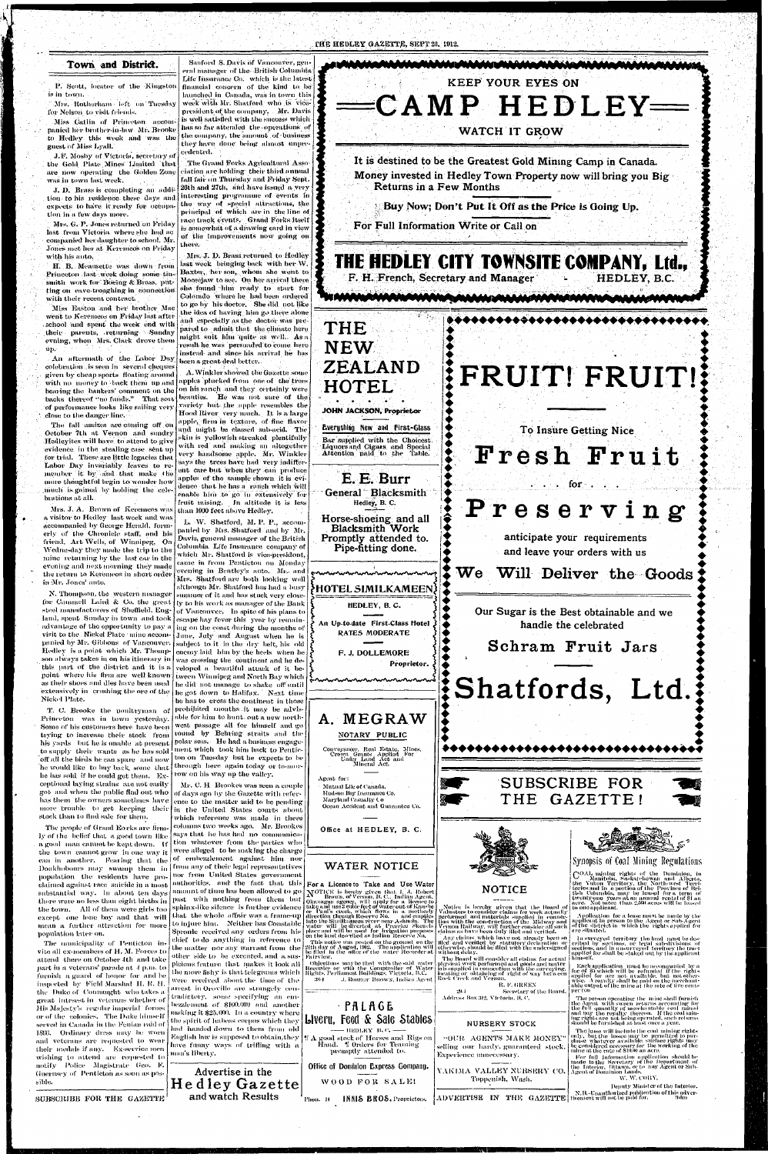#### THE HEDLEY GAZETTE, SEPT 20, 1912.

P. Scott, locator of the Kingston is in town.

#### **Town** and **District.**

Mrs. Rotherhani left on Tuesday for Nelson to visit friends.

.I.F. Mosby of Victoria, secretary of . the Cold Plate Mines Limited that are now operating the Golden Zone was in town hist week.

Miss Catlin of Princeton accompanied her brother-in-law Mr. Brooke to Hedley this week and was the guest of Miss Lyall.

Mrs. G. P. Jones returned on Friday last from Victoria where she had ac companied her daughter to school. Mr. Jones met her at Keremeos on Friday with his auto.

H. B. Meansette was down from Princeton last week doing some tinsmith work for Boeing & Brass, putting on eave-troughing in connection with their recent contract.

Miss Easton and her brother Mac went to Keremeos on Friday last after school and spent the week end with their parents, .returning Sunday evning, when Mrs. Clark drove them  $up.$ 

J. *D.* Brass is completing an nddi' tion to his residence these days and expects to have it ready for occupation in a. few days more.

An aftermath of the Labor Day colebration is seen in several cheques given by cheap sports floating around with no money to back them up and bearing the bankers' comment on the hacks thereof "no funds." That sort of performance looks like sailing very close to the danger line.

eralmanager of the British Columbia Life Insurance Co. which is the latest financial concern of the kind to be launched in Canada, was in town this week with Mr. Shatford who is vicepresident of the company. Mr. Davis is well satisfied with the success which has so far attended the operations of the company, the amount of business they have done being almost unpre- $\rm{c}$ edented. $\rm{ }$ 

Sanford S. Davis of Vancouver, gen-

The fall assizes are coming off on October 7th at Vernon and sundry Hedleyites will have to attend to give evidence, in the stealing case sent up for trial. These are little legacies that Labor Day invariably leaves to remember it by and that make i he more thoughtful begin to wonder how .much is gained by holding the celebrations at all.

Mrs. J. A. Brown of Keremeos was than 1000 feet above Hedley. a visitor to Hedley last week and was accompanied by George Herald, formerly of the Chronicle staff, and his friend, Art Wells, of Winnipeg, On Wednesday they made the trip to the mine returning by the last car in the evening and next morning they made the return to Keremeos in short order in Mr. Jones' auto.

Mrs. J. D. Brass returned to Hedley last week bringing back with her AV. Baxter, her son, whom she went to Moosejaw to see On her arrival there she found him ready to start for Colorado where he had been ordered to go by his doctor. She did not like the idea of having him go there alone and especially as the doctor was pic pared to admit that the climate here might suit him quite as well. As a result lie was persuaded to come here instead and since his arrival he has been a great deal better.

A. Winkler showed the Gazette some apples plucked from one of the'trees on his ranch and they certainly were beauties. He was not sure of the variety but.the apple resembles the Hood River very much. It is a large apple, firm in texture, of fine flavor and might be classed sub-acid. The  $\operatorname{skin}$  is -yellowish streaked plentifully with red and making an altogether very handsome apple. Mr. Winkler says the trees have had very indifferent care but when they can produce apples of the sample shown it is evidence that he has a ranch which will enable him to go in extensively for fruit raising. In altitude it is less

The Grand Forks Agricultural Association are holding their third annual fall fair on Thursday and Friday Sept. 28th and 27th, and have issued a very interesting programme of events in the way of special attractions, the principal of which are in the line of race track events. Grand Forks itself is somewhat of a drawing card in view of the improvements now going on there.

had handed down to them from old english law is supposed to obtain, the<br>English law is supposed to obtain, they Euglish law is supposed to obtain, they  $\|\Psi\|$  good stock of Horses and Rigs on  $\lim_{n\to\infty} \lim_{n\to\infty} \sigma_n$ have fanny ways of trifling with a<br>man's liberty.

steel manufacturers of Sheffield, Engvisit to the Nickel Plate mine accompanied by Mr. Gibbons of Vancouver. this part of the district and it is a point where his firm are well known extensively in crushing the ore of the Nickel Plate.

T. C. Brooke the noultrynian of Princeton was in town yesterday. Some of his customers here have been trying to increase their stock from his yards but he is unable at present to supply their wants as he has sold off all the birds he can spare and now he would like to buy hack some that he has sold if he could get them. Exceptional laying strains are not easily got and when the. public find out who has them the owners sometimes have more trouble to get keeping their stock than to find sale for them.

> . This notice was posted on the ground -on the<br>24th day of August, 1912. . The application will<br>be filed -in the -ollice of the -water -Recorder at Fairview.

- Objections may be tiled -with the said-water<br>Recorder-or-with the Comptroller of Water<br>Rights, Parliament Buildings, Victoria, B.C. 384 ... ... J. Roughr BROWN, Indian Agent.

L. W. Shatford, M. P. P., accompanied by Mis. Shatford and by Mr. Davis, general manager of the British Colnmbia Life Insurance, company of which Mr. Shatford is vice-presidont, came, in from Penticton on Monday evening in Bentley's auto. Mr.- and Mrs. Shatford are both looking well although Mr. Shatford has had a busy

N. Thompson, the western manager  $\vert$  summer of it and has stuck very closefor Cammell -Laird  $\&$  Co. the great  $|$  ly to his work as manager of the Bank land, spent Sunday in town and took escape hay fever this year by remainadvantage of the opportunity to pay a  $\lceil \log$  on the coast during the months of Hedley is a point which Mr. Thomp- enemy laid him by the heels, when he son always takes in on his itinerary in  $\vert_{\text{was}}$  crossing the continent and he deas their shoes and dies have been used he did not manage to shake off until Dotikhobours may swamp them in from any of their legal representatives of Vancouver. In spite of his plans to June, July and August when he is subject to it in the dry belt, his old veloped a. beautiful attack of it between Winnipeg and North Bay which he got down to Halifax.  $^{\circ}$  Next time he has to cross the continent in those prohibited months it may be advisable for- him to hunt, out a new northwest passage all for himself and go round hy Behriug straits and the polar seas. He had a. business engagement which took him back to Penticton on Tuesday but he expects to be through here again today or to-morrow on his way up the valley. Mr. C. H Brookes was seen a couple of days ago by the Gazette with reference to the matter said to be pending in the United States courts about which reference was made in these columns two weeks ago. Mr. Brookes says that he has had no communication whatever from the parties who j were alleged to he making the charge of embezzlement against him nor nor from United States government authorities, and the fact that this  $\vert$  For a Licence to Take and Use Water amount of time has been allowed to go past with nothing from them but sphinx-like silence is further evidence that the whole affair was a frame-up to injure him. Neither has Constable Sproule received any orders from his chief to do anything in reference to the to do anything in reference to<br>the matter nor any warrant from the other side to be executed, and a suspicious feature that makes it look all the more fishy is that telegrams which were received about the time of the arrest in Oroville are strangely contradictory, some specifying an enibezzleinent of \$100,000 and another making it \$25,000. In a. country where the spirit of habeas corpus which they HOTEL SIMILKAMEEN, Liveru, Feed & Sale Stables

> Advertise in the He dley Gazette Hand. If Orders for Teaming promptly attended to. Office of Dominion Express Company. WOOD FOR SALE!

SUBSCRIBE FOR THE GAZETTE

The people of Grand Eorks are firmly of the belief that a good town like a good man cannot be kept down. If the town cannot grow in one way it can in another. Fearing that the population the residents have proclaimed against race suicide in a most substantial way. In about ten days there were no less than eight births in the town. All of them were girls too except one lone boy and that will mean a further attraction for more population later on.

Any claims which hav e not already been so tiled and veritied by statutor v declaration or otherwise, should be llled with the undersigned without delay.

The Board will consider all claims for actual<br>physical work performed and goods and mater<br>lalssupplied in connection with the surveying,<br>locating or obtaining of right of way between<br>Rock Creek and Vernon.

The municipality of Penticton invite all ex-members of 11. M. Forces to attend there on October -Ith and take part in a veterans' parade at I p.m. to furnish a guard of honor for and be inspected by Field Marshal IT. It. 11. the Duke of Connaught who takes a great intesest in veterans whether of His Majesty's regular imperial forces or of the colonies. The Duke himself served in Canada, in the Fenian raid of ISu'ti. Ordinary dress may be worn and veterans are requested to wear their medals if any. Ex-service men wishing to attend are requested to notify Police Magistrate Geo. *V.*  Guernsey of Penticton as soon as possible.

R. F. GREEN •i'l-l Secretary of the Hoard. COAL mining rights of the Dominion, in<br>the Manitoba, Saskatchewan and Alberta.<br>the Yakon Territory, the North-west Terri-<br>tories and in a portion of the Province of Bri-<br>tish Columbia, may be leased for a term of<br>twenty-o to one applicant.

Application for a lease must be made by the<br>applicant in person to the Agent or Sub-Agent<br>of the district in which the rights applied for<br>are situated.

In surveyed territory the land must bo des-<br>cribed by sections, or legal sub-divisions of<br>sections, and in unsurveyed territory the tract<br>applied for shall be staked out by the applicant himself.

Each application - must be accompanied by a<br>fee of \$5 which will be refunded if the rights<br>applied for are not available, but not other-<br>wise. A reyalty shall be paid on the merchant-<br>able output of the mine at the rate o

. The person operating the -mine shall furnish<br>the Agent, with sworn, returns accounting for<br>the full quantity of merchantable (coal -mined and Day "the royalty" thereon. "If the coal min-<br>ing rights are not being operated, such returns<br>should be furnished at least once a year.

The lease will include the coal mining rights only, but the lessee may be permitted to pur-<br>chase whatever available surface rights may<br>be considered necessary for tbe working of the mine at the rate of \$10.00 an acre.

- For full information application should be<br>made to the Secretary of the Department of<br>the Interior, Ottawa, or to any Agent or Sub-<br>Agent of Dominion Lands.

'i

HEDLEY, B. C.

An Up-to-date First-Class Hotel RATES MODERATE

**F. J. DOLLEMORE** 



Agent for:

Office at HEDLEY, B. C.



#### WATER NOTICE

N'OTICE is hereby given that 1, J. Robert<br>
Discuragan agency, will apply for a liemce to<br>
Banagan agency, will apply for a liemce to<br>
take and use 3 cubic feet of waterout of Kaushe<br>
or Paul's creek, which flows in a north

**Proprietor. •Shatfords, Ltd.: A. MEGRAW**  NOTARY PUBLIC ........... Conveyancer, Real Estate, Mines,<br>Crown Grants Applied For<br>Under Land Act and<br>Mineral Act. SUBSCRIBE FOR

 $\boldsymbol{\check{\mathsf{z}}}$  $\check{\mathbf{\bm\Sigma}}$ 

PflLAGE

 $\leftarrow$  HEDLEY 11.  $\alpha$ .

Phon.  $\textbf{H} = \textbf{IMMS} \cdot \textbf{BROS}$ . Proprietors.

and watch Results

Our Sugar is the Best obtainable and we

handle the celebrated

**Schra m Fruit Jar s** 

THE GAZETTE!



Notice is hereby given that the Board of<br>Valuators to consider claims for work actually<br>performed and materials supplied in connection<br>with the construction of the Midway and<br>Vernon Railway, will further consider all such<br>

#### NURSERY STOCK

••OUR. AGENTS MAKE MONEY" selling our hardy, guaranteed stock. Experience un necessary.

YAKIMA VALLEY NURSERY CO. Toppenish, Wash.

# **..-"J**

### Synopsis of Coal Mining Regulations

 $\boldsymbol{\check{\bullet}}$  $\check{\bullet}$ 

 $\check{\bullet}$ 

 $\check{\bullet}$ 

#### *XV. XV.* **couv ,**

Deputy Minister of the Interior. tisement will not be paid for. !l-(im

ADVERTISE IN THE GAZETTE tisement will not be paid for. The Secret ADVERTISE IN THE GAZETTE

Address Box 312, Victoria. B. C.